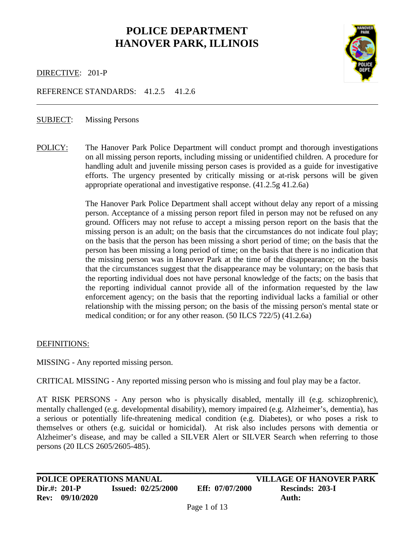#### **POLICE DEPARTMENT HANOVER PARK, ILLINOIS**



DIRECTIVE: 201-P

REFERENCE STANDARDS: 41.2.5 41.2.6

#### SUBJECT: Missing Persons

POLICY: The Hanover Park Police Department will conduct prompt and thorough investigations on all missing person reports, including missing or unidentified children. A procedure for handling adult and juvenile missing person cases is provided as a guide for investigative efforts. The urgency presented by critically missing or at-risk persons will be given appropriate operational and investigative response. (41.2.5g 41.2.6a)

> The Hanover Park Police Department shall accept without delay any report of a missing person. Acceptance of a missing person report filed in person may not be refused on any ground. Officers may not refuse to accept a missing person report on the basis that the missing person is an adult; on the basis that the circumstances do not indicate foul play; on the basis that the person has been missing a short period of time; on the basis that the person has been missing a long period of time; on the basis that there is no indication that the missing person was in Hanover Park at the time of the disappearance; on the basis that the circumstances suggest that the disappearance may be voluntary; on the basis that the reporting individual does not have personal knowledge of the facts; on the basis that the reporting individual cannot provide all of the information requested by the law enforcement agency; on the basis that the reporting individual lacks a familial or other relationship with the missing person; on the basis of the missing person's mental state or medical condition; or for any other reason. (50 ILCS 722/5) (41.2.6a)

#### DEFINITIONS:

MISSING - Any reported missing person.

CRITICAL MISSING - Any reported missing person who is missing and foul play may be a factor.

AT RISK PERSONS - Any person who is physically disabled, mentally ill (e.g. schizophrenic), mentally challenged (e.g. developmental disability), memory impaired (e.g. Alzheimer's, dementia), has a serious or potentially life-threatening medical condition (e.g. Diabetes), or who poses a risk to themselves or others (e.g. suicidal or homicidal). At risk also includes persons with dementia or Alzheimer's disease, and may be called a SILVER Alert or SILVER Search when referring to those persons (20 ILCS 2605/2605-485).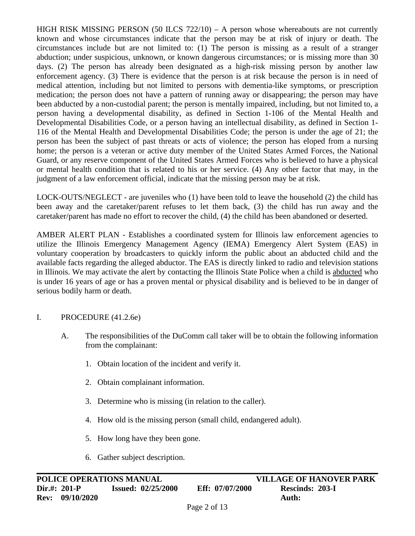HIGH RISK MISSING PERSON (50 ILCS 722/10) – A person whose whereabouts are not currently known and whose circumstances indicate that the person may be at risk of injury or death. The circumstances include but are not limited to: (1) The person is missing as a result of a stranger abduction; under suspicious, unknown, or known dangerous circumstances; or is missing more than 30 days. (2) The person has already been designated as a high-risk missing person by another law enforcement agency. (3) There is evidence that the person is at risk because the person is in need of medical attention, including but not limited to persons with dementia-like symptoms, or prescription medication; the person does not have a pattern of running away or disappearing; the person may have been abducted by a non-custodial parent; the person is mentally impaired, including, but not limited to, a person having a developmental disability, as defined in Section 1-106 of the Mental Health and Developmental Disabilities Code, or a person having an intellectual disability, as defined in Section 1- 116 of the Mental Health and Developmental Disabilities Code; the person is under the age of 21; the person has been the subject of past threats or acts of violence; the person has eloped from a nursing home; the person is a veteran or active duty member of the United States Armed Forces, the National Guard, or any reserve component of the United States Armed Forces who is believed to have a physical or mental health condition that is related to his or her service. (4) Any other factor that may, in the judgment of a law enforcement official, indicate that the missing person may be at risk.

LOCK-OUTS/NEGLECT - are juveniles who (1) have been told to leave the household (2) the child has been away and the caretaker/parent refuses to let them back, (3) the child has run away and the caretaker/parent has made no effort to recover the child, (4) the child has been abandoned or deserted.

AMBER ALERT PLAN - Establishes a coordinated system for Illinois law enforcement agencies to utilize the Illinois Emergency Management Agency (IEMA) Emergency Alert System (EAS) in voluntary cooperation by broadcasters to quickly inform the public about an abducted child and the available facts regarding the alleged abductor. The EAS is directly linked to radio and television stations in Illinois. We may activate the alert by contacting the Illinois State Police when a child is abducted who is under 16 years of age or has a proven mental or physical disability and is believed to be in danger of serious bodily harm or death.

#### I. PROCEDURE (41.2.6e)

- A. The responsibilities of the DuComm call taker will be to obtain the following information from the complainant:
	- 1. Obtain location of the incident and verify it.
	- 2. Obtain complainant information.
	- 3. Determine who is missing (in relation to the caller).
	- 4. How old is the missing person (small child, endangered adult).
	- 5. How long have they been gone.
	- 6. Gather subject description.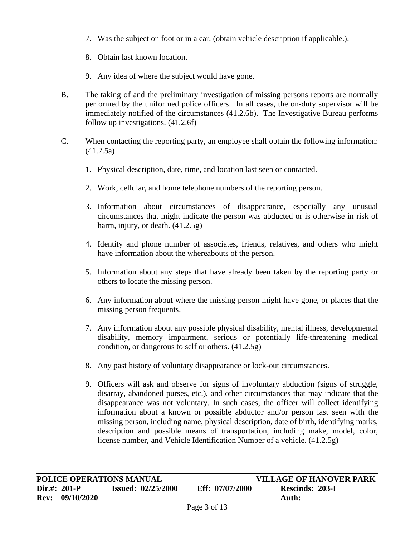- 7. Was the subject on foot or in a car. (obtain vehicle description if applicable.).
- 8. Obtain last known location.
- 9. Any idea of where the subject would have gone.
- B. The taking of and the preliminary investigation of missing persons reports are normally performed by the uniformed police officers. In all cases, the on-duty supervisor will be immediately notified of the circumstances (41.2.6b). The Investigative Bureau performs follow up investigations. (41.2.6f)
- C. When contacting the reporting party, an employee shall obtain the following information: (41.2.5a)
	- 1. Physical description, date, time, and location last seen or contacted.
	- 2. Work, cellular, and home telephone numbers of the reporting person.
	- 3. Information about circumstances of disappearance, especially any unusual circumstances that might indicate the person was abducted or is otherwise in risk of harm, injury, or death. (41.2.5g)
	- 4. Identity and phone number of associates, friends, relatives, and others who might have information about the whereabouts of the person.
	- 5. Information about any steps that have already been taken by the reporting party or others to locate the missing person.
	- 6. Any information about where the missing person might have gone, or places that the missing person frequents.
	- 7. Any information about any possible physical disability, mental illness, developmental disability, memory impairment, serious or potentially life-threatening medical condition, or dangerous to self or others. (41.2.5g)
	- 8. Any past history of voluntary disappearance or lock-out circumstances.
	- 9. Officers will ask and observe for signs of involuntary abduction (signs of struggle, disarray, abandoned purses, etc.), and other circumstances that may indicate that the disappearance was not voluntary. In such cases, the officer will collect identifying information about a known or possible abductor and/or person last seen with the missing person, including name, physical description, date of birth, identifying marks, description and possible means of transportation, including make, model, color, license number, and Vehicle Identification Number of a vehicle. (41.2.5g)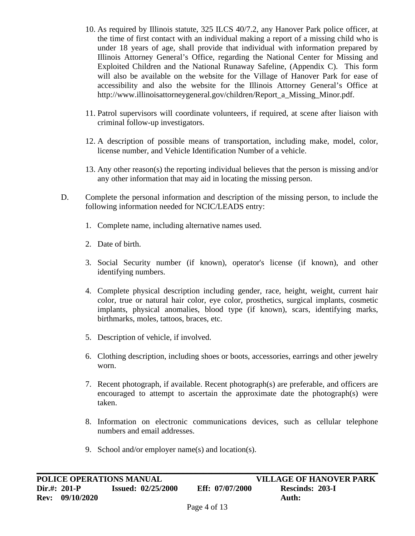- 10. As required by Illinois statute, 325 ILCS 40/7.2, any Hanover Park police officer, at the time of first contact with an individual making a report of a missing child who is under 18 years of age, shall provide that individual with information prepared by Illinois Attorney General's Office, regarding the National Center for Missing and Exploited Children and the National Runaway Safeline, (Appendix C). This form will also be available on the website for the Village of Hanover Park for ease of accessibility and also the website for the Illinois Attorney General's Office at http://www.illinoisattorneygeneral.gov/children/Report\_a\_Missing\_Minor.pdf.
- 11. Patrol supervisors will coordinate volunteers, if required, at scene after liaison with criminal follow-up investigators.
- 12. A description of possible means of transportation, including make, model, color, license number, and Vehicle Identification Number of a vehicle.
- 13. Any other reason(s) the reporting individual believes that the person is missing and/or any other information that may aid in locating the missing person.
- D. Complete the personal information and description of the missing person, to include the following information needed for NCIC/LEADS entry:
	- 1. Complete name, including alternative names used.
	- 2. Date of birth.
	- 3. Social Security number (if known), operator's license (if known), and other identifying numbers.
	- 4. Complete physical description including gender, race, height, weight, current hair color, true or natural hair color, eye color, prosthetics, surgical implants, cosmetic implants, physical anomalies, blood type (if known), scars, identifying marks, birthmarks, moles, tattoos, braces, etc.
	- 5. Description of vehicle, if involved.
	- 6. Clothing description, including shoes or boots, accessories, earrings and other jewelry worn.
	- 7. Recent photograph, if available. Recent photograph(s) are preferable, and officers are encouraged to attempt to ascertain the approximate date the photograph(s) were taken.
	- 8. Information on electronic communications devices, such as cellular telephone numbers and email addresses.
	- 9. School and/or employer name(s) and location(s).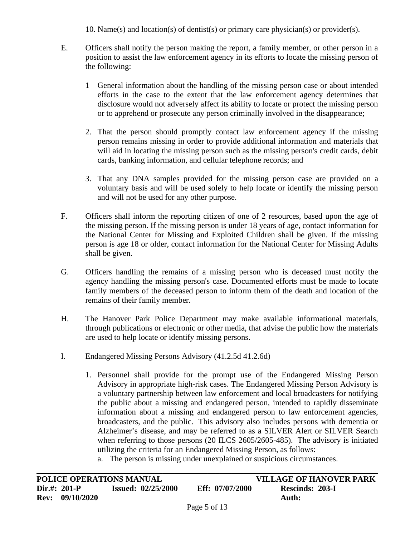10. Name(s) and location(s) of dentist(s) or primary care physician(s) or provider(s).

- E. Officers shall notify the person making the report, a family member, or other person in a position to assist the law enforcement agency in its efforts to locate the missing person of the following:
	- 1 General information about the handling of the missing person case or about intended efforts in the case to the extent that the law enforcement agency determines that disclosure would not adversely affect its ability to locate or protect the missing person or to apprehend or prosecute any person criminally involved in the disappearance;
	- 2. That the person should promptly contact law enforcement agency if the missing person remains missing in order to provide additional information and materials that will aid in locating the missing person such as the missing person's credit cards, debit cards, banking information, and cellular telephone records; and
	- 3. That any DNA samples provided for the missing person case are provided on a voluntary basis and will be used solely to help locate or identify the missing person and will not be used for any other purpose.
- F. Officers shall inform the reporting citizen of one of 2 resources, based upon the age of the missing person. If the missing person is under 18 years of age, contact information for the National Center for Missing and Exploited Children shall be given. If the missing person is age 18 or older, contact information for the National Center for Missing Adults shall be given.
- G. Officers handling the remains of a missing person who is deceased must notify the agency handling the missing person's case. Documented efforts must be made to locate family members of the deceased person to inform them of the death and location of the remains of their family member.
- H. The Hanover Park Police Department may make available informational materials, through publications or electronic or other media, that advise the public how the materials are used to help locate or identify missing persons.
- I. Endangered Missing Persons Advisory (41.2.5d 41.2.6d)
	- 1. Personnel shall provide for the prompt use of the Endangered Missing Person Advisory in appropriate high-risk cases. The Endangered Missing Person Advisory is a voluntary partnership between law enforcement and local broadcasters for notifying the public about a missing and endangered person, intended to rapidly disseminate information about a missing and endangered person to law enforcement agencies, broadcasters, and the public. This advisory also includes persons with dementia or Alzheimer's disease, and may be referred to as a SILVER Alert or SILVER Search when referring to those persons (20 ILCS 2605/2605-485). The advisory is initiated utilizing the criteria for an Endangered Missing Person, as follows:
		- a. The person is missing under unexplained or suspicious circumstances.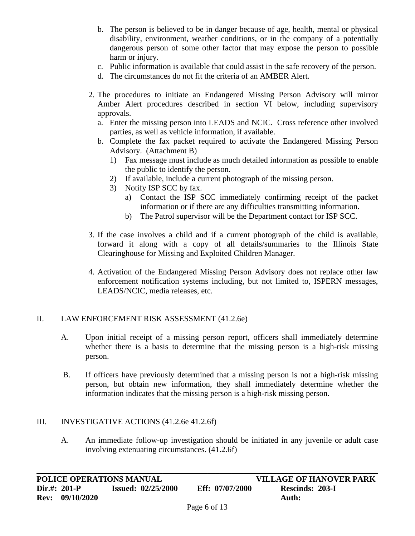- b. The person is believed to be in danger because of age, health, mental or physical disability, environment, weather conditions, or in the company of a potentially dangerous person of some other factor that may expose the person to possible harm or injury.
- c. Public information is available that could assist in the safe recovery of the person.
- d. The circumstances do not fit the criteria of an AMBER Alert.
- 2. The procedures to initiate an Endangered Missing Person Advisory will mirror Amber Alert procedures described in section VI below, including supervisory approvals.
	- a. Enter the missing person into LEADS and NCIC. Cross reference other involved parties, as well as vehicle information, if available.
	- b. Complete the fax packet required to activate the Endangered Missing Person Advisory. (Attachment B)
		- 1) Fax message must include as much detailed information as possible to enable the public to identify the person.
		- 2) If available, include a current photograph of the missing person.
		- 3) Notify ISP SCC by fax.
			- a) Contact the ISP SCC immediately confirming receipt of the packet information or if there are any difficulties transmitting information.
			- b) The Patrol supervisor will be the Department contact for ISP SCC.
- 3. If the case involves a child and if a current photograph of the child is available, forward it along with a copy of all details/summaries to the Illinois State Clearinghouse for Missing and Exploited Children Manager.
- 4. Activation of the Endangered Missing Person Advisory does not replace other law enforcement notification systems including, but not limited to, ISPERN messages, LEADS/NCIC, media releases, etc.

#### II. LAW ENFORCEMENT RISK ASSESSMENT (41.2.6e)

- A. Upon initial receipt of a missing person report, officers shall immediately determine whether there is a basis to determine that the missing person is a high-risk missing person.
- B. If officers have previously determined that a missing person is not a high-risk missing person, but obtain new information, they shall immediately determine whether the information indicates that the missing person is a high-risk missing person.

#### III. INVESTIGATIVE ACTIONS (41.2.6e 41.2.6f)

A. An immediate follow-up investigation should be initiated in any juvenile or adult case involving extenuating circumstances. (41.2.6f)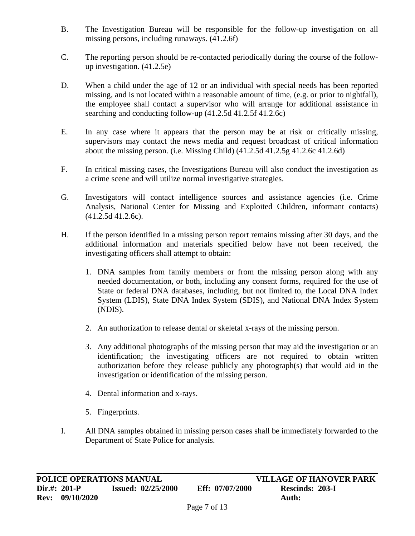- B. The Investigation Bureau will be responsible for the follow-up investigation on all missing persons, including runaways. (41.2.6f)
- C. The reporting person should be re-contacted periodically during the course of the followup investigation. (41.2.5e)
- D. When a child under the age of 12 or an individual with special needs has been reported missing, and is not located within a reasonable amount of time, (e.g. or prior to nightfall), the employee shall contact a supervisor who will arrange for additional assistance in searching and conducting follow-up (41.2.5d 41.2.5f 41.2.6c)
- E. In any case where it appears that the person may be at risk or critically missing, supervisors may contact the news media and request broadcast of critical information about the missing person. (i.e. Missing Child) (41.2.5d 41.2.5g 41.2.6c 41.2.6d)
- F. In critical missing cases, the Investigations Bureau will also conduct the investigation as a crime scene and will utilize normal investigative strategies.
- G. Investigators will contact intelligence sources and assistance agencies (i.e. Crime Analysis, National Center for Missing and Exploited Children, informant contacts) (41.2.5d 41.2.6c).
- H. If the person identified in a missing person report remains missing after 30 days, and the additional information and materials specified below have not been received, the investigating officers shall attempt to obtain:
	- 1. DNA samples from family members or from the missing person along with any needed documentation, or both, including any consent forms, required for the use of State or federal DNA databases, including, but not limited to, the Local DNA Index System (LDIS), State DNA Index System (SDIS), and National DNA Index System (NDIS).
	- 2. An authorization to release dental or skeletal x-rays of the missing person.
	- 3. Any additional photographs of the missing person that may aid the investigation or an identification; the investigating officers are not required to obtain written authorization before they release publicly any photograph(s) that would aid in the investigation or identification of the missing person.
	- 4. Dental information and x-rays.
	- 5. Fingerprints.
- I. All DNA samples obtained in missing person cases shall be immediately forwarded to the Department of State Police for analysis.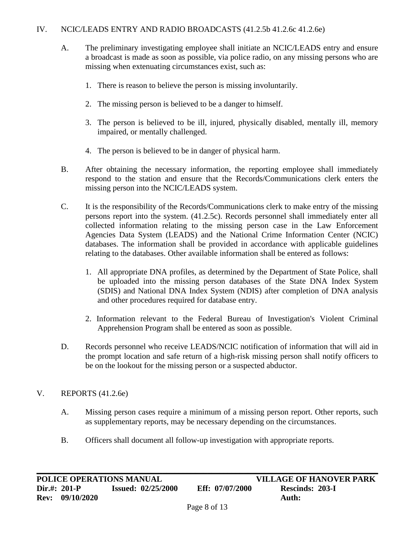#### IV. NCIC/LEADS ENTRY AND RADIO BROADCASTS (41.2.5b 41.2.6c 41.2.6e)

- A. The preliminary investigating employee shall initiate an NCIC/LEADS entry and ensure a broadcast is made as soon as possible, via police radio, on any missing persons who are missing when extenuating circumstances exist, such as:
	- 1. There is reason to believe the person is missing involuntarily.
	- 2. The missing person is believed to be a danger to himself.
	- 3. The person is believed to be ill, injured, physically disabled, mentally ill, memory impaired, or mentally challenged.
	- 4. The person is believed to be in danger of physical harm.
- B. After obtaining the necessary information, the reporting employee shall immediately respond to the station and ensure that the Records/Communications clerk enters the missing person into the NCIC/LEADS system.
- C. It is the responsibility of the Records/Communications clerk to make entry of the missing persons report into the system. (41.2.5c). Records personnel shall immediately enter all collected information relating to the missing person case in the Law Enforcement Agencies Data System (LEADS) and the National Crime Information Center (NCIC) databases. The information shall be provided in accordance with applicable guidelines relating to the databases. Other available information shall be entered as follows:
	- 1. All appropriate DNA profiles, as determined by the Department of State Police, shall be uploaded into the missing person databases of the State DNA Index System (SDIS) and National DNA Index System (NDIS) after completion of DNA analysis and other procedures required for database entry.
	- 2. Information relevant to the Federal Bureau of Investigation's Violent Criminal Apprehension Program shall be entered as soon as possible.
- D. Records personnel who receive LEADS/NCIC notification of information that will aid in the prompt location and safe return of a high-risk missing person shall notify officers to be on the lookout for the missing person or a suspected abductor.

#### V. REPORTS (41.2.6e)

- A. Missing person cases require a minimum of a missing person report. Other reports, such as supplementary reports, may be necessary depending on the circumstances.
- B. Officers shall document all follow-up investigation with appropriate reports.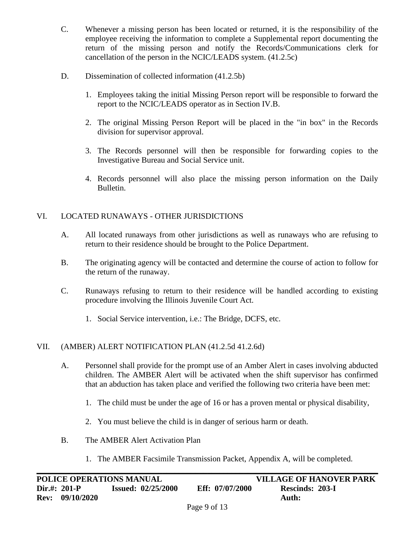- C. Whenever a missing person has been located or returned, it is the responsibility of the employee receiving the information to complete a Supplemental report documenting the return of the missing person and notify the Records/Communications clerk for cancellation of the person in the NCIC/LEADS system. (41.2.5c)
- D. Dissemination of collected information (41.2.5b)
	- 1. Employees taking the initial Missing Person report will be responsible to forward the report to the NCIC/LEADS operator as in Section IV.B.
	- 2. The original Missing Person Report will be placed in the "in box" in the Records division for supervisor approval.
	- 3. The Records personnel will then be responsible for forwarding copies to the Investigative Bureau and Social Service unit.
	- 4. Records personnel will also place the missing person information on the Daily Bulletin.

#### VI. LOCATED RUNAWAYS - OTHER JURISDICTIONS

- A. All located runaways from other jurisdictions as well as runaways who are refusing to return to their residence should be brought to the Police Department.
- B. The originating agency will be contacted and determine the course of action to follow for the return of the runaway.
- C. Runaways refusing to return to their residence will be handled according to existing procedure involving the Illinois Juvenile Court Act.
	- 1. Social Service intervention, i.e.: The Bridge, DCFS, etc.

#### VII. (AMBER) ALERT NOTIFICATION PLAN (41.2.5d 41.2.6d)

- A. Personnel shall provide for the prompt use of an Amber Alert in cases involving abducted children. The AMBER Alert will be activated when the shift supervisor has confirmed that an abduction has taken place and verified the following two criteria have been met:
	- 1. The child must be under the age of 16 or has a proven mental or physical disability,
	- 2. You must believe the child is in danger of serious harm or death.
- B. The AMBER Alert Activation Plan
	- 1. The AMBER Facsimile Transmission Packet, Appendix A, will be completed.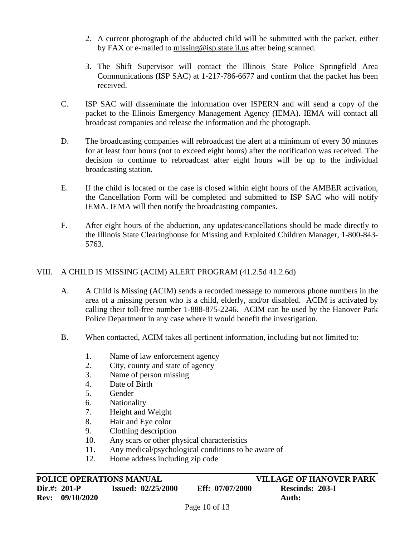- 2. A current photograph of the abducted child will be submitted with the packet, either by FAX or e-mailed to [missing@isp.state.il.us](mailto:missing@isp.state.il.us) after being scanned.
- 3. The Shift Supervisor will contact the Illinois State Police Springfield Area Communications (ISP SAC) at 1-217-786-6677 and confirm that the packet has been received.
- C. ISP SAC will disseminate the information over ISPERN and will send a copy of the packet to the Illinois Emergency Management Agency (IEMA). IEMA will contact all broadcast companies and release the information and the photograph.
- D. The broadcasting companies will rebroadcast the alert at a minimum of every 30 minutes for at least four hours (not to exceed eight hours) after the notification was received. The decision to continue to rebroadcast after eight hours will be up to the individual broadcasting station.
- E. If the child is located or the case is closed within eight hours of the AMBER activation, the Cancellation Form will be completed and submitted to ISP SAC who will notify IEMA. IEMA will then notify the broadcasting companies.
- F. After eight hours of the abduction, any updates/cancellations should be made directly to the Illinois State Clearinghouse for Missing and Exploited Children Manager, 1-800-843- 5763.

#### VIII. A CHILD IS MISSING (ACIM) ALERT PROGRAM (41.2.5d 41.2.6d)

- A. A Child is Missing (ACIM) sends a recorded message to numerous phone numbers in the area of a missing person who is a child, elderly, and/or disabled. ACIM is activated by calling their toll-free number 1-888-875-2246. ACIM can be used by the Hanover Park Police Department in any case where it would benefit the investigation.
- B. When contacted, ACIM takes all pertinent information, including but not limited to:
	- 1. Name of law enforcement agency
	- 2. City, county and state of agency
	- 3. Name of person missing
	- 4. Date of Birth
	- 5. Gender
	- 6. Nationality
	- 7. Height and Weight
	- 8. Hair and Eye color
	- 9. Clothing description
	- 10. Any scars or other physical characteristics
	- 11. Any medical/psychological conditions to be aware of
	- 12. Home address including zip code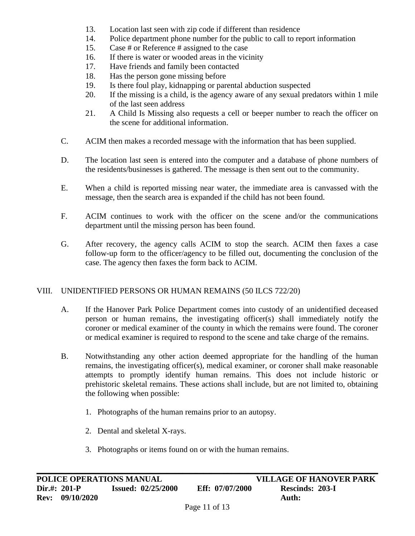- 13. Location last seen with zip code if different than residence
- 14. Police department phone number for the public to call to report information
- 15. Case # or Reference # assigned to the case
- 16. If there is water or wooded areas in the vicinity
- 17. Have friends and family been contacted
- 18. Has the person gone missing before
- 19. Is there foul play, kidnapping or parental abduction suspected
- 20. If the missing is a child, is the agency aware of any sexual predators within 1 mile of the last seen address
- 21. A Child Is Missing also requests a cell or beeper number to reach the officer on the scene for additional information.
- C. ACIM then makes a recorded message with the information that has been supplied.
- D. The location last seen is entered into the computer and a database of phone numbers of the residents/businesses is gathered. The message is then sent out to the community.
- E. When a child is reported missing near water, the immediate area is canvassed with the message, then the search area is expanded if the child has not been found.
- F. ACIM continues to work with the officer on the scene and/or the communications department until the missing person has been found.
- G. After recovery, the agency calls ACIM to stop the search. ACIM then faxes a case follow-up form to the officer/agency to be filled out, documenting the conclusion of the case. The agency then faxes the form back to ACIM.

#### VIII. UNIDENTIFIED PERSONS OR HUMAN REMAINS (50 ILCS 722/20)

- A. If the Hanover Park Police Department comes into custody of an unidentified deceased person or human remains, the investigating officer(s) shall immediately notify the coroner or medical examiner of the county in which the remains were found. The coroner or medical examiner is required to respond to the scene and take charge of the remains.
- B. Notwithstanding any other action deemed appropriate for the handling of the human remains, the investigating officer(s), medical examiner, or coroner shall make reasonable attempts to promptly identify human remains. This does not include historic or prehistoric skeletal remains. These actions shall include, but are not limited to, obtaining the following when possible:
	- 1. Photographs of the human remains prior to an autopsy.
	- 2. Dental and skeletal X-rays.
	- 3. Photographs or items found on or with the human remains.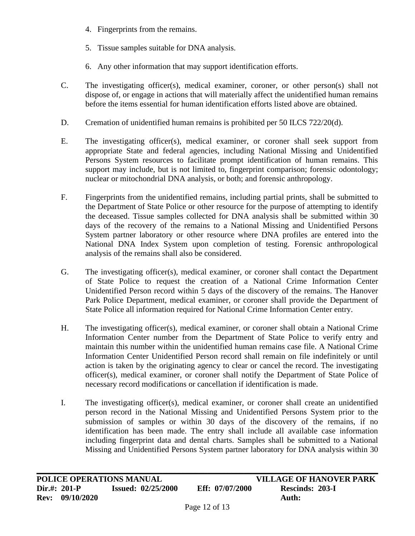- 4. Fingerprints from the remains.
- 5. Tissue samples suitable for DNA analysis.
- 6. Any other information that may support identification efforts.
- C. The investigating officer(s), medical examiner, coroner, or other person(s) shall not dispose of, or engage in actions that will materially affect the unidentified human remains before the items essential for human identification efforts listed above are obtained.
- D. Cremation of unidentified human remains is prohibited per 50 ILCS 722/20(d).
- E. The investigating officer(s), medical examiner, or coroner shall seek support from appropriate State and federal agencies, including National Missing and Unidentified Persons System resources to facilitate prompt identification of human remains. This support may include, but is not limited to, fingerprint comparison; forensic odontology; nuclear or mitochondrial DNA analysis, or both; and forensic anthropology.
- F. Fingerprints from the unidentified remains, including partial prints, shall be submitted to the Department of State Police or other resource for the purpose of attempting to identify the deceased. Tissue samples collected for DNA analysis shall be submitted within 30 days of the recovery of the remains to a National Missing and Unidentified Persons System partner laboratory or other resource where DNA profiles are entered into the National DNA Index System upon completion of testing. Forensic anthropological analysis of the remains shall also be considered.
- G. The investigating officer(s), medical examiner, or coroner shall contact the Department of State Police to request the creation of a National Crime Information Center Unidentified Person record within 5 days of the discovery of the remains. The Hanover Park Police Department, medical examiner, or coroner shall provide the Department of State Police all information required for National Crime Information Center entry.
- H. The investigating officer(s), medical examiner, or coroner shall obtain a National Crime Information Center number from the Department of State Police to verify entry and maintain this number within the unidentified human remains case file. A National Crime Information Center Unidentified Person record shall remain on file indefinitely or until action is taken by the originating agency to clear or cancel the record. The investigating officer(s), medical examiner, or coroner shall notify the Department of State Police of necessary record modifications or cancellation if identification is made.
- I. The investigating officer(s), medical examiner, or coroner shall create an unidentified person record in the National Missing and Unidentified Persons System prior to the submission of samples or within 30 days of the discovery of the remains, if no identification has been made. The entry shall include all available case information including fingerprint data and dental charts. Samples shall be submitted to a National Missing and Unidentified Persons System partner laboratory for DNA analysis within 30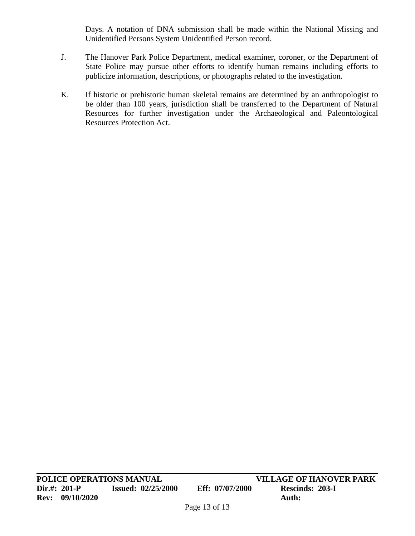Days. A notation of DNA submission shall be made within the National Missing and Unidentified Persons System Unidentified Person record.

- J. The Hanover Park Police Department, medical examiner, coroner, or the Department of State Police may pursue other efforts to identify human remains including efforts to publicize information, descriptions, or photographs related to the investigation.
- K. If historic or prehistoric human skeletal remains are determined by an anthropologist to be older than 100 years, jurisdiction shall be transferred to the Department of Natural Resources for further investigation under the Archaeological and Paleontological Resources Protection Act.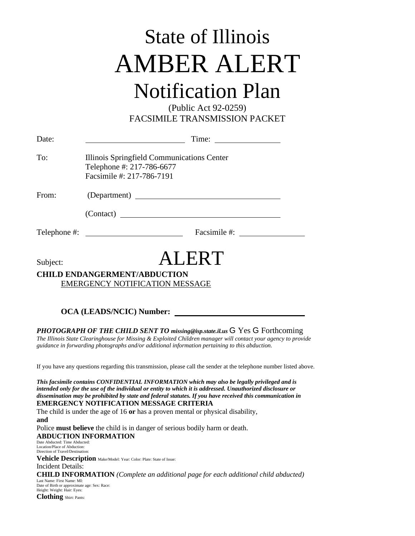# State of Illinois AMBER ALERT

### Notification Plan

(Public Act 92-0259) FACSIMILE TRANSMISSION PACKET

| Date:    |                                                                                                                                                                                                                                                                                                       |
|----------|-------------------------------------------------------------------------------------------------------------------------------------------------------------------------------------------------------------------------------------------------------------------------------------------------------|
| To:      | Illinois Springfield Communications Center<br>Telephone #: 217-786-6677<br>Facsimile #: 217-786-7191                                                                                                                                                                                                  |
| From:    |                                                                                                                                                                                                                                                                                                       |
|          |                                                                                                                                                                                                                                                                                                       |
|          |                                                                                                                                                                                                                                                                                                       |
| Subject: | ALERT                                                                                                                                                                                                                                                                                                 |
|          | <b>CHILD ENDANGERMENT/ABDUCTION</b><br><b>EMERGENCY NOTIFICATION MESSAGE</b>                                                                                                                                                                                                                          |
|          | OCA (LEADS/NCIC) Number:                                                                                                                                                                                                                                                                              |
|          | <b>PHOTOGRAPH OF THE CHILD SENT TO missing@isp.state.il.us G Yes G Forthcoming</b><br>The Illinois State Clearinghouse for Missing & Exploited Children manager will contact your agency to provide<br>guidance in forwarding photographs and/or additional information pertaining to this abduction. |

If you have any questions regarding this transmission, please call the sender at the telephone number listed above.

*This facsimile contains CONFIDENTIAL INFORMATION which may also be legally privileged and is intended only for the use of the individual or entity to which it is addressed. Unauthorized disclosure or dissemination may be prohibited by state and federal statutes. If you have received this communication in* **EMERGENCY NOTIFICATION MESSAGE CRITERIA**

The child is under the age of 16 **or** has a proven mental or physical disability, **and** Police **must believe** the child is in danger of serious bodily harm or death.

**ABDUCTION INFORMATION** Date Abducted: Time Abducted: Location/Place of Abduction: Direction of Travel/Destination:

**Vehicle Description** Make/Model: Year: Color: Plate: State of Issue: Incident Details: **CHILD INFORMATION** *(Complete an additional page for each additional child abducted)* Last Name: First Name: MI: Date of Birth or approximate age: Sex: Race: Height: Weight: Hair: Eyes: **Clothing** Shirt: Pants: